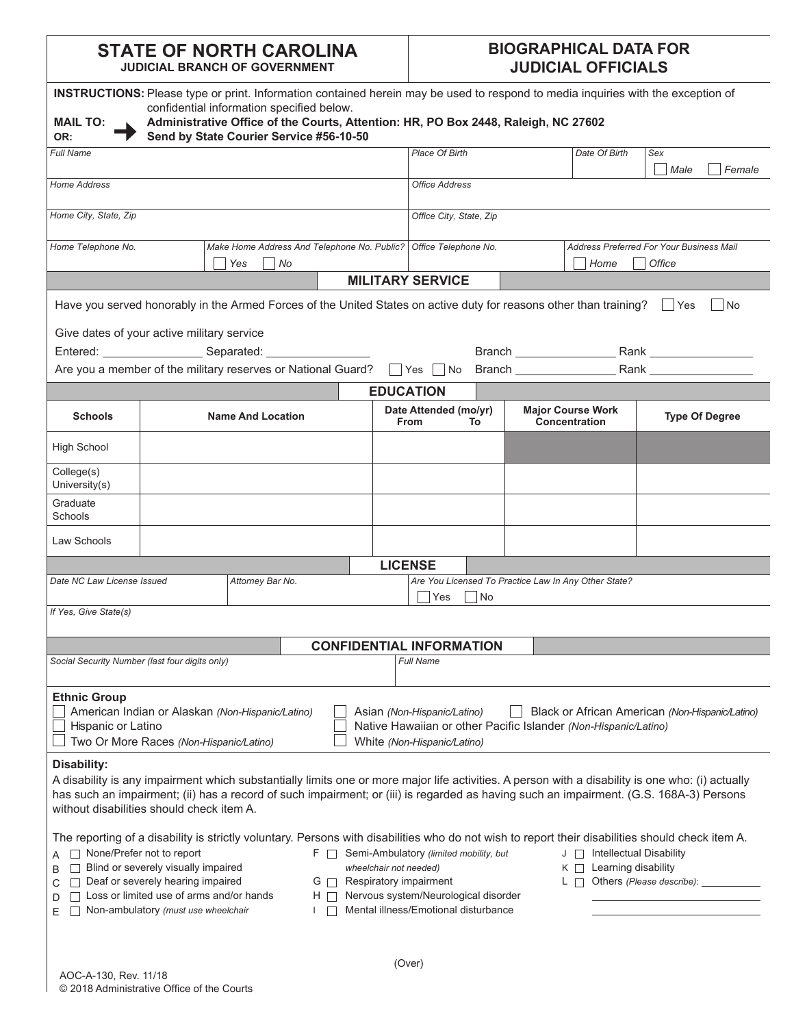## **STATE OF NORTH CAROLINA JUDICIAL BRANCH OF GOVERNMENT**

## **BIOGRAPHICAL DATA FOR JUDICIAL OFFICIALS**

|                                                                                                                                                                                                                                                                                                                                                                                                                                                                                                                                                                                                                                                                                    | INSTRUCTIONS: Please type or print. Information contained herein may be used to respond to media inquiries with the exception of |                  |  |                                           |                                                 |           |                                           |                                                      |                       |        |
|------------------------------------------------------------------------------------------------------------------------------------------------------------------------------------------------------------------------------------------------------------------------------------------------------------------------------------------------------------------------------------------------------------------------------------------------------------------------------------------------------------------------------------------------------------------------------------------------------------------------------------------------------------------------------------|----------------------------------------------------------------------------------------------------------------------------------|------------------|--|-------------------------------------------|-------------------------------------------------|-----------|-------------------------------------------|------------------------------------------------------|-----------------------|--------|
| <b>MAIL TO:</b>                                                                                                                                                                                                                                                                                                                                                                                                                                                                                                                                                                                                                                                                    | confidential information specified below.<br>Administrative Office of the Courts, Attention: HR, PO Box 2448, Raleigh, NC 27602  |                  |  |                                           |                                                 |           |                                           |                                                      |                       |        |
| OR:                                                                                                                                                                                                                                                                                                                                                                                                                                                                                                                                                                                                                                                                                | Send by State Courier Service #56-10-50                                                                                          |                  |  |                                           |                                                 |           |                                           |                                                      |                       |        |
| <b>Full Name</b>                                                                                                                                                                                                                                                                                                                                                                                                                                                                                                                                                                                                                                                                   |                                                                                                                                  |                  |  |                                           | <b>Place Of Birth</b>                           |           |                                           | Date Of Birth                                        | Sex<br>Male           | Female |
| <b>Home Address</b>                                                                                                                                                                                                                                                                                                                                                                                                                                                                                                                                                                                                                                                                |                                                                                                                                  |                  |  |                                           | <b>Office Address</b>                           |           |                                           |                                                      |                       |        |
| Home City, State, Zip                                                                                                                                                                                                                                                                                                                                                                                                                                                                                                                                                                                                                                                              |                                                                                                                                  |                  |  | Office City, State, Zip                   |                                                 |           |                                           |                                                      |                       |        |
| Home Telephone No.<br>Make Home Address And Telephone No. Public?   Office Telephone No.                                                                                                                                                                                                                                                                                                                                                                                                                                                                                                                                                                                           |                                                                                                                                  |                  |  |                                           | <b>Address Preferred For Your Business Mail</b> |           |                                           |                                                      |                       |        |
| Yes<br> No                                                                                                                                                                                                                                                                                                                                                                                                                                                                                                                                                                                                                                                                         |                                                                                                                                  |                  |  | Home<br>Office<br><b>MILITARY SERVICE</b> |                                                 |           |                                           |                                                      |                       |        |
|                                                                                                                                                                                                                                                                                                                                                                                                                                                                                                                                                                                                                                                                                    | Have you served honorably in the Armed Forces of the United States on active duty for reasons other than training? $\Box$ Yes    |                  |  |                                           |                                                 |           |                                           |                                                      |                       | No     |
|                                                                                                                                                                                                                                                                                                                                                                                                                                                                                                                                                                                                                                                                                    | Give dates of your active military service                                                                                       |                  |  |                                           |                                                 |           |                                           |                                                      |                       |        |
|                                                                                                                                                                                                                                                                                                                                                                                                                                                                                                                                                                                                                                                                                    | Entered: Separated: Separated:                                                                                                   |                  |  |                                           |                                                 |           |                                           |                                                      |                       |        |
|                                                                                                                                                                                                                                                                                                                                                                                                                                                                                                                                                                                                                                                                                    | Are you a member of the military reserves or National Guard? $\Box$ Yes $\Box$ No Branch $\Box$ Rank $\Box$ Rank $\Box$          |                  |  |                                           |                                                 |           |                                           |                                                      |                       |        |
|                                                                                                                                                                                                                                                                                                                                                                                                                                                                                                                                                                                                                                                                                    |                                                                                                                                  |                  |  |                                           | <b>EDUCATION</b>                                |           |                                           |                                                      |                       |        |
| <b>Schools</b>                                                                                                                                                                                                                                                                                                                                                                                                                                                                                                                                                                                                                                                                     | <b>Name And Location</b>                                                                                                         |                  |  |                                           | Date Attended (mo/yr)<br><b>From</b><br>To      |           | <b>Major Course Work</b><br>Concentration |                                                      | <b>Type Of Degree</b> |        |
| <b>High School</b>                                                                                                                                                                                                                                                                                                                                                                                                                                                                                                                                                                                                                                                                 |                                                                                                                                  |                  |  |                                           |                                                 |           |                                           |                                                      |                       |        |
| College(s)<br>University(s)                                                                                                                                                                                                                                                                                                                                                                                                                                                                                                                                                                                                                                                        |                                                                                                                                  |                  |  |                                           |                                                 |           |                                           |                                                      |                       |        |
| Graduate<br>Schools                                                                                                                                                                                                                                                                                                                                                                                                                                                                                                                                                                                                                                                                |                                                                                                                                  |                  |  |                                           |                                                 |           |                                           |                                                      |                       |        |
| Law Schools                                                                                                                                                                                                                                                                                                                                                                                                                                                                                                                                                                                                                                                                        |                                                                                                                                  |                  |  |                                           |                                                 |           |                                           |                                                      |                       |        |
|                                                                                                                                                                                                                                                                                                                                                                                                                                                                                                                                                                                                                                                                                    |                                                                                                                                  |                  |  |                                           | <b>LICENSE</b>                                  |           |                                           |                                                      |                       |        |
| Date NC Law License Issued                                                                                                                                                                                                                                                                                                                                                                                                                                                                                                                                                                                                                                                         |                                                                                                                                  | Attorney Bar No. |  |                                           | Yes                                             | <b>No</b> |                                           | Are You Licensed To Practice Law In Any Other State? |                       |        |
| If Yes, Give State(s)                                                                                                                                                                                                                                                                                                                                                                                                                                                                                                                                                                                                                                                              |                                                                                                                                  |                  |  |                                           |                                                 |           |                                           |                                                      |                       |        |
|                                                                                                                                                                                                                                                                                                                                                                                                                                                                                                                                                                                                                                                                                    |                                                                                                                                  |                  |  |                                           | <b>CONFIDENTIAL INFORMATION</b>                 |           |                                           |                                                      |                       |        |
| Social Security Number (last four digits only)                                                                                                                                                                                                                                                                                                                                                                                                                                                                                                                                                                                                                                     |                                                                                                                                  |                  |  |                                           | <b>Full Name</b>                                |           |                                           |                                                      |                       |        |
| <b>Ethnic Group</b><br>American Indian or Alaskan (Non-Hispanic/Latino)<br>Black or African American (Non-Hispanic/Latino)<br>Asian (Non-Hispanic/Latino)<br>Native Hawaiian or other Pacific Islander (Non-Hispanic/Latino)<br>Hispanic or Latino<br>Two Or More Races (Non-Hispanic/Latino)<br>White (Non-Hispanic/Latino)                                                                                                                                                                                                                                                                                                                                                       |                                                                                                                                  |                  |  |                                           |                                                 |           |                                           |                                                      |                       |        |
| Disability:<br>A disability is any impairment which substantially limits one or more major life activities. A person with a disability is one who: (i) actually<br>has such an impairment; (ii) has a record of such impairment; or (iii) is regarded as having such an impairment. (G.S. 168A-3) Persons<br>without disabilities should check item A.                                                                                                                                                                                                                                                                                                                             |                                                                                                                                  |                  |  |                                           |                                                 |           |                                           |                                                      |                       |        |
| The reporting of a disability is strictly voluntary. Persons with disabilities who do not wish to report their disabilities should check item A.<br>None/Prefer not to report<br>F Semi-Ambulatory (limited mobility, but<br>J   Intellectual Disability<br>Blind or severely visually impaired<br>Learning disability<br>wheelchair not needed)<br>KΠ<br>$\perp$<br>B<br>Deaf or severely hearing impaired<br>Respiratory impairment<br>$L \Box$ Others (Please describe): _<br>GΠ<br>С<br>Loss or limited use of arms and/or hands<br>Nervous system/Neurological disorder<br>$H \Box$<br>D<br>Mental illness/Emotional disturbance<br>Non-ambulatory (must use wheelchair<br>E. |                                                                                                                                  |                  |  |                                           |                                                 |           |                                           |                                                      |                       |        |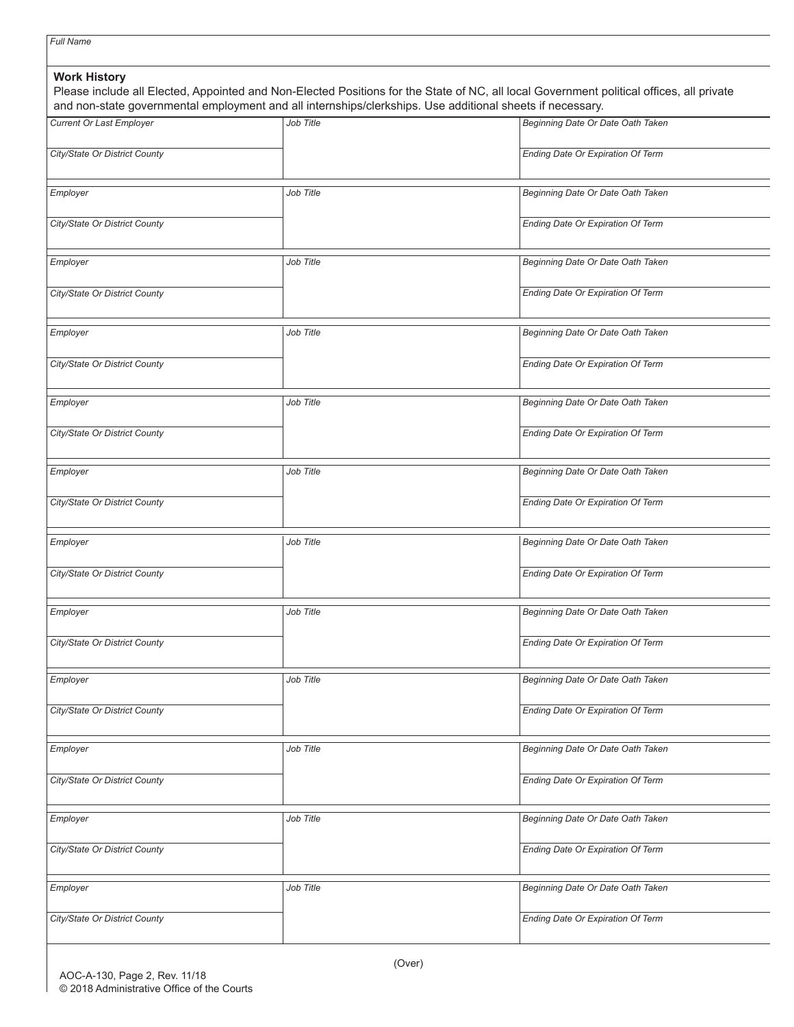|                                 | and non-state governmental employment and all internships/clerkships. Use additional sheets if necessary. |                                   |  |  |  |
|---------------------------------|-----------------------------------------------------------------------------------------------------------|-----------------------------------|--|--|--|
| <b>Current Or Last Employer</b> | Job Title                                                                                                 | Beginning Date Or Date Oath Taken |  |  |  |
| City/State Or District County   |                                                                                                           | Ending Date Or Expiration Of Term |  |  |  |
| Employer                        | Job Title                                                                                                 | Beginning Date Or Date Oath Taken |  |  |  |
| City/State Or District County   |                                                                                                           | Ending Date Or Expiration Of Term |  |  |  |
| Employer                        | Job Title                                                                                                 | Beginning Date Or Date Oath Taken |  |  |  |
| City/State Or District County   |                                                                                                           | Ending Date Or Expiration Of Term |  |  |  |
| Employer                        | Job Title                                                                                                 | Beginning Date Or Date Oath Taken |  |  |  |
| City/State Or District County   |                                                                                                           | Ending Date Or Expiration Of Term |  |  |  |
| Employer                        | Job Title                                                                                                 | Beginning Date Or Date Oath Taken |  |  |  |
| City/State Or District County   |                                                                                                           | Ending Date Or Expiration Of Term |  |  |  |
| Employer                        | Job Title                                                                                                 | Beginning Date Or Date Oath Taken |  |  |  |
| City/State Or District County   |                                                                                                           | Ending Date Or Expiration Of Term |  |  |  |
| Employer                        | Job Title                                                                                                 | Beginning Date Or Date Oath Taken |  |  |  |
| City/State Or District County   |                                                                                                           | Ending Date Or Expiration Of Term |  |  |  |
| Employer                        | Job Title                                                                                                 | Beginning Date Or Date Oath Taken |  |  |  |
| City/State Or District County   |                                                                                                           | Ending Date Or Expiration Of Term |  |  |  |
| Employer                        | Job Title                                                                                                 | Beginning Date Or Date Oath Taken |  |  |  |
| City/State Or District County   |                                                                                                           | Ending Date Or Expiration Of Term |  |  |  |
| Employer                        | Job Title                                                                                                 | Beginning Date Or Date Oath Taken |  |  |  |
| City/State Or District County   |                                                                                                           | Ending Date Or Expiration Of Term |  |  |  |
| Employer                        | Job Title                                                                                                 | Beginning Date Or Date Oath Taken |  |  |  |
| City/State Or District County   |                                                                                                           | Ending Date Or Expiration Of Term |  |  |  |
| Employer                        | Job Title                                                                                                 | Beginning Date Or Date Oath Taken |  |  |  |
| City/State Or District County   |                                                                                                           | Ending Date Or Expiration Of Term |  |  |  |

*Full Name*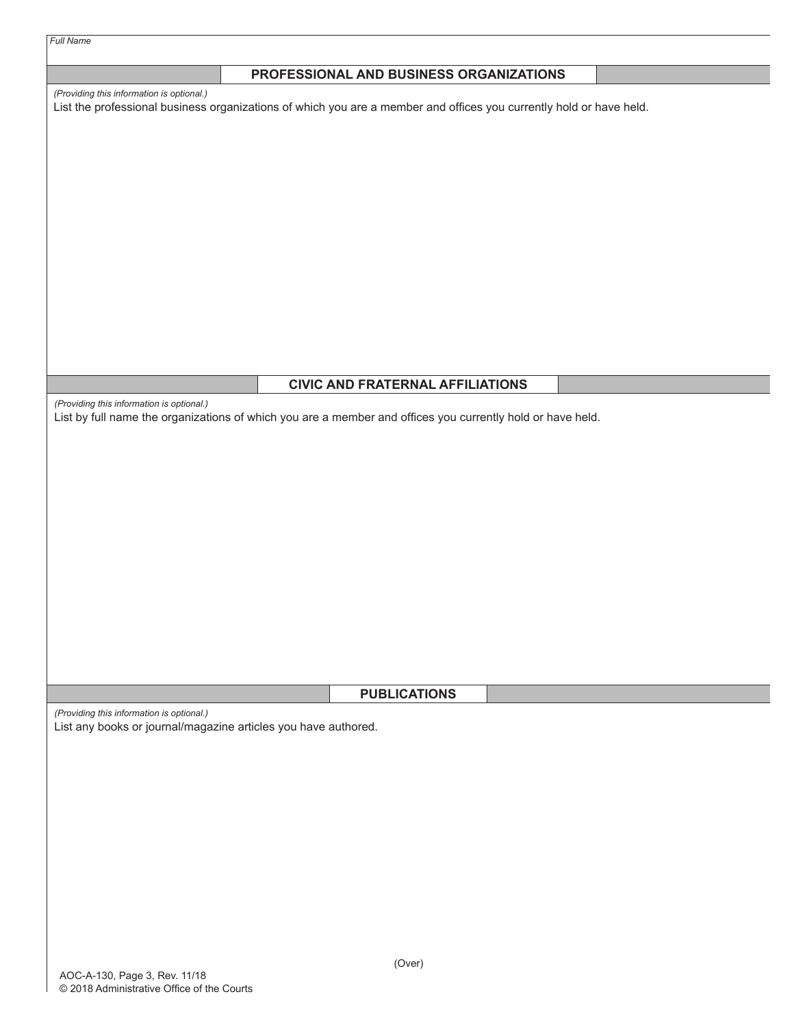| PROFESSIONAL AND BUSINESS ORGANIZATIONS                                                                                                                          |
|------------------------------------------------------------------------------------------------------------------------------------------------------------------|
| (Providing this information is optional.)<br>List the professional business organizations of which you are a member and offices you currently hold or have held. |
|                                                                                                                                                                  |
|                                                                                                                                                                  |
|                                                                                                                                                                  |
|                                                                                                                                                                  |
|                                                                                                                                                                  |
|                                                                                                                                                                  |
|                                                                                                                                                                  |
|                                                                                                                                                                  |
|                                                                                                                                                                  |
|                                                                                                                                                                  |
|                                                                                                                                                                  |
| <b>CIVIC AND FRATERNAL AFFILIATIONS</b>                                                                                                                          |
| (Providing this information is optional.)<br>List by full name the organizations of which you are a member and offices you currently hold or have held.          |
|                                                                                                                                                                  |
|                                                                                                                                                                  |
|                                                                                                                                                                  |
|                                                                                                                                                                  |
|                                                                                                                                                                  |
|                                                                                                                                                                  |
|                                                                                                                                                                  |
|                                                                                                                                                                  |
|                                                                                                                                                                  |
|                                                                                                                                                                  |
|                                                                                                                                                                  |
| <b>PUBLICATIONS</b>                                                                                                                                              |
| (Providing this information is optional.)                                                                                                                        |
| List any books or journal/magazine articles you have authored.                                                                                                   |
|                                                                                                                                                                  |
|                                                                                                                                                                  |
|                                                                                                                                                                  |
|                                                                                                                                                                  |
|                                                                                                                                                                  |
|                                                                                                                                                                  |
|                                                                                                                                                                  |
|                                                                                                                                                                  |
|                                                                                                                                                                  |
| (Over)                                                                                                                                                           |

*Full Name*